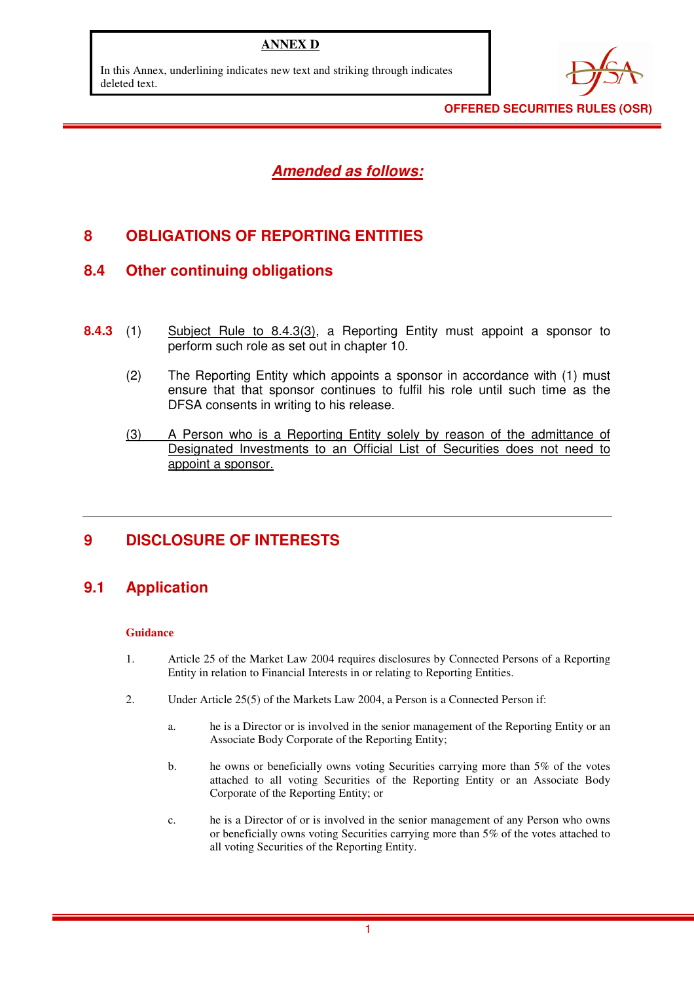## **ANNEX D**

In this Annex, underlining indicates new text and striking through indicates deleted text.



**OFFERED SECURITIES RULES (OSR)** 

**Amended as follows:**

# **8 OBLIGATIONS OF REPORTING ENTITIES**

## **8.4 Other continuing obligations**

- **8.4.3** (1) Subject Rule to 8.4.3(3), a Reporting Entity must appoint a sponsor to perform such role as set out in chapter 10.
	- (2) The Reporting Entity which appoints a sponsor in accordance with (1) must ensure that that sponsor continues to fulfil his role until such time as the DFSA consents in writing to his release.
	- (3) A Person who is a Reporting Entity solely by reason of the admittance of Designated Investments to an Official List of Securities does not need to appoint a sponsor.

## **9 DISCLOSURE OF INTERESTS**

## **9.1 Application**

#### **Guidance**

- 1. Article 25 of the Market Law 2004 requires disclosures by Connected Persons of a Reporting Entity in relation to Financial Interests in or relating to Reporting Entities.
- 2. Under Article 25(5) of the Markets Law 2004, a Person is a Connected Person if:
	- a. he is a Director or is involved in the senior management of the Reporting Entity or an Associate Body Corporate of the Reporting Entity;
	- b. he owns or beneficially owns voting Securities carrying more than 5% of the votes attached to all voting Securities of the Reporting Entity or an Associate Body Corporate of the Reporting Entity; or
	- c. he is a Director of or is involved in the senior management of any Person who owns or beneficially owns voting Securities carrying more than 5% of the votes attached to all voting Securities of the Reporting Entity.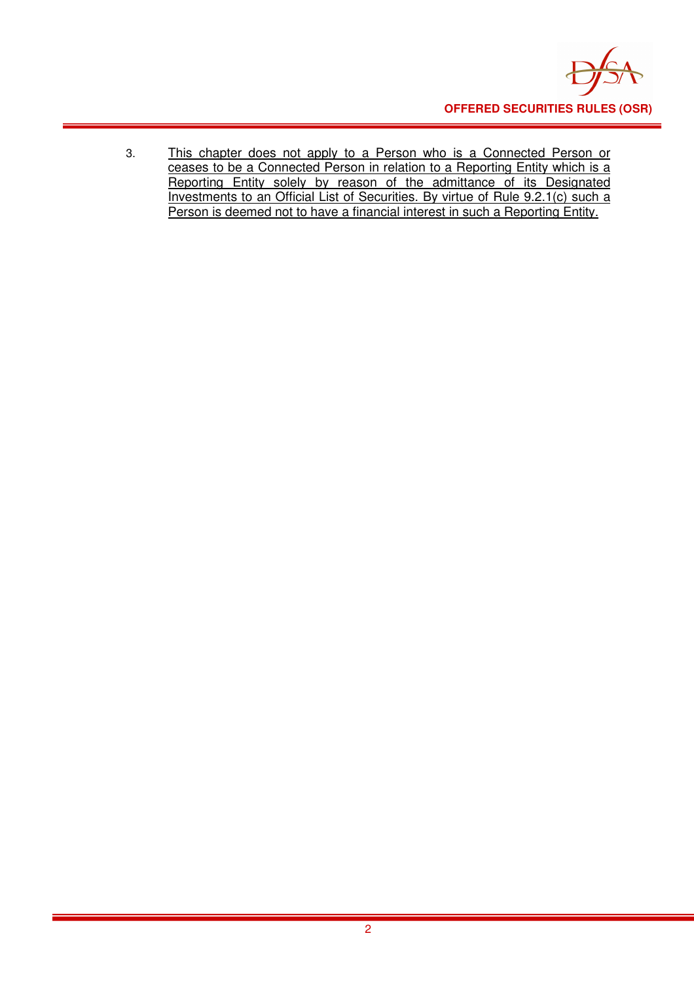

3. This chapter does not apply to a Person who is a Connected Person or ceases to be a Connected Person in relation to a Reporting Entity which is a Reporting Entity solely by reason of the admittance of its Designated Investments to an Official List of Securities. By virtue of Rule 9.2.1(c) such a Person is deemed not to have a financial interest in such a Reporting Entity.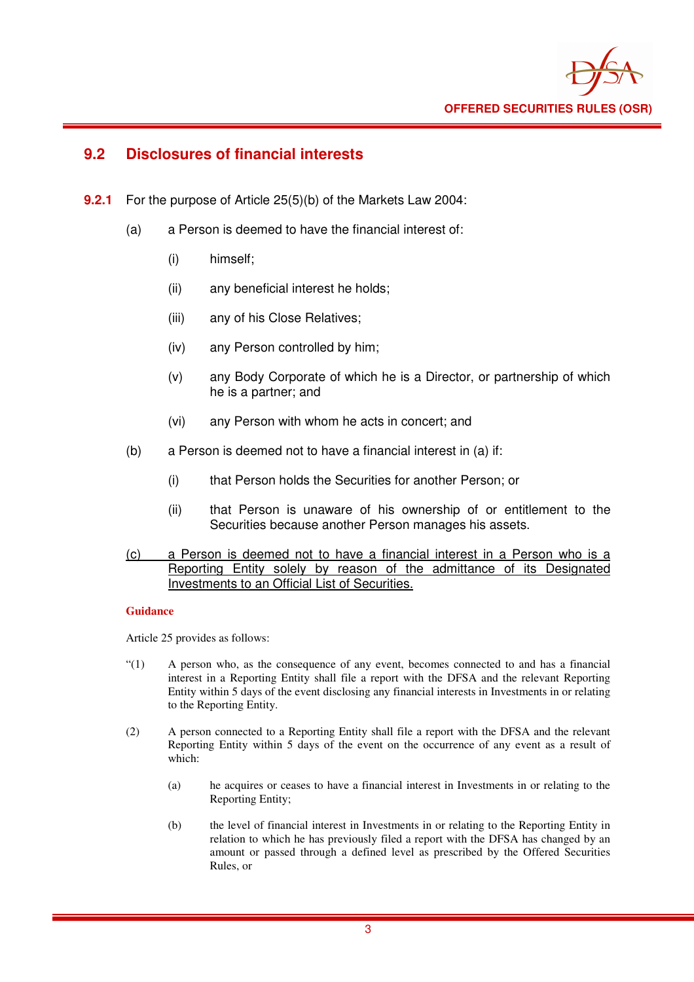

## **9.2 Disclosures of financial interests**

- **9.2.1** For the purpose of Article 25(5)(b) of the Markets Law 2004:
	- (a) a Person is deemed to have the financial interest of:
		- (i) himself;
		- (ii) any beneficial interest he holds;
		- (iii) any of his Close Relatives;
		- (iv) any Person controlled by him;
		- (v) any Body Corporate of which he is a Director, or partnership of which he is a partner; and
		- (vi) any Person with whom he acts in concert; and
	- (b) a Person is deemed not to have a financial interest in (a) if:
		- (i) that Person holds the Securities for another Person; or
		- (ii) that Person is unaware of his ownership of or entitlement to the Securities because another Person manages his assets.
	- (c) a Person is deemed not to have a financial interest in a Person who is a Reporting Entity solely by reason of the admittance of its Designated Investments to an Official List of Securities.

#### **Guidance**

Article 25 provides as follows:

- "(1) A person who, as the consequence of any event, becomes connected to and has a financial interest in a Reporting Entity shall file a report with the DFSA and the relevant Reporting Entity within 5 days of the event disclosing any financial interests in Investments in or relating to the Reporting Entity.
- (2) A person connected to a Reporting Entity shall file a report with the DFSA and the relevant Reporting Entity within 5 days of the event on the occurrence of any event as a result of which:
	- (a) he acquires or ceases to have a financial interest in Investments in or relating to the Reporting Entity;
	- (b) the level of financial interest in Investments in or relating to the Reporting Entity in relation to which he has previously filed a report with the DFSA has changed by an amount or passed through a defined level as prescribed by the Offered Securities Rules, or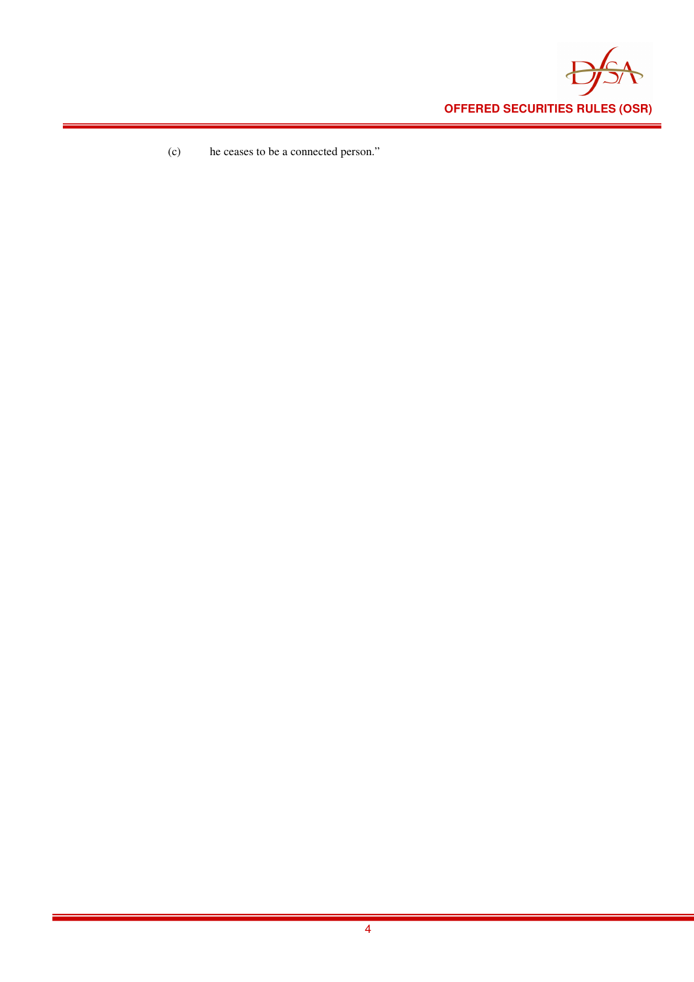

(c) he ceases to be a connected person."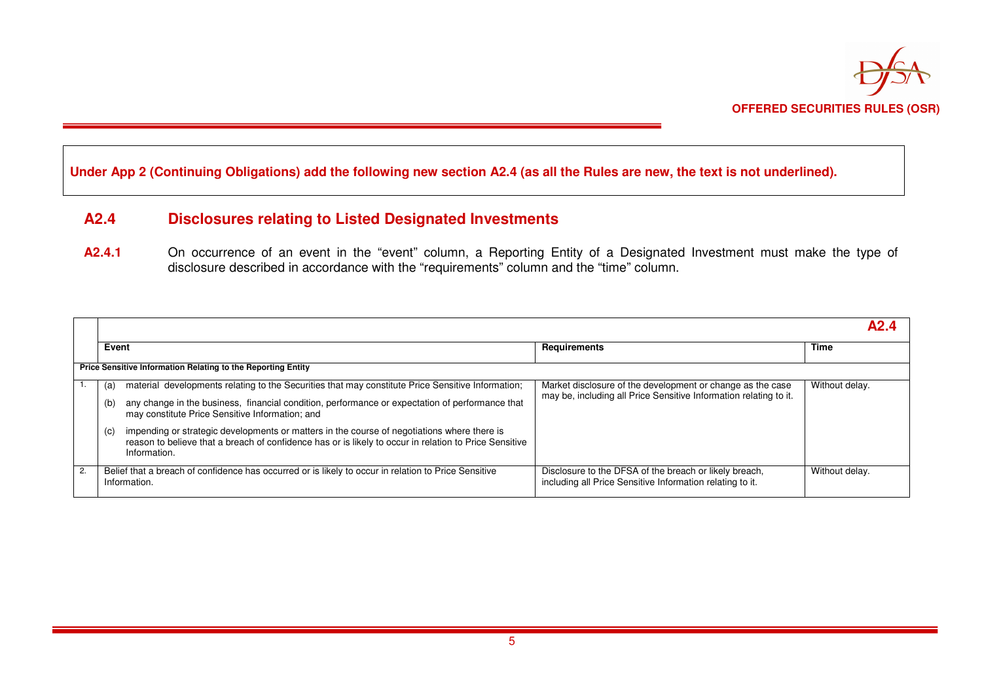

### **Under App 2 (Continuing Obligations) add the following new section A2.4 (as all the Rules are new, the text is not underlined).**

### **A2.4 Disclosures relating to Listed Designated Investments**

A2.4.1 On occurrence of an event in the "event" column, a Reporting Entity of a Designated Investment must make the type of disclosure described in accordance with the "requirements" column and the "time" column.

|    |                                                                     |                                                                                                                                                                                                                       |                                                                                                                                 | A2.            |
|----|---------------------------------------------------------------------|-----------------------------------------------------------------------------------------------------------------------------------------------------------------------------------------------------------------------|---------------------------------------------------------------------------------------------------------------------------------|----------------|
|    | Event                                                               |                                                                                                                                                                                                                       | <b>Requirements</b>                                                                                                             | <b>Time</b>    |
|    | <b>Price Sensitive Information Relating to the Reporting Entity</b> |                                                                                                                                                                                                                       |                                                                                                                                 |                |
|    | (a)                                                                 | material developments relating to the Securities that may constitute Price Sensitive Information;                                                                                                                     | Market disclosure of the development or change as the case<br>may be, including all Price Sensitive Information relating to it. | Without delay. |
|    | (b)                                                                 | any change in the business, financial condition, performance or expectation of performance that<br>may constitute Price Sensitive Information; and                                                                    |                                                                                                                                 |                |
|    | (c)                                                                 | impending or strategic developments or matters in the course of negotiations where there is<br>reason to believe that a breach of confidence has or is likely to occur in relation to Price Sensitive<br>Information. |                                                                                                                                 |                |
| 2. |                                                                     | Belief that a breach of confidence has occurred or is likely to occur in relation to Price Sensitive<br>Information.                                                                                                  | Disclosure to the DFSA of the breach or likely breach,<br>including all Price Sensitive Information relating to it.             | Without delay. |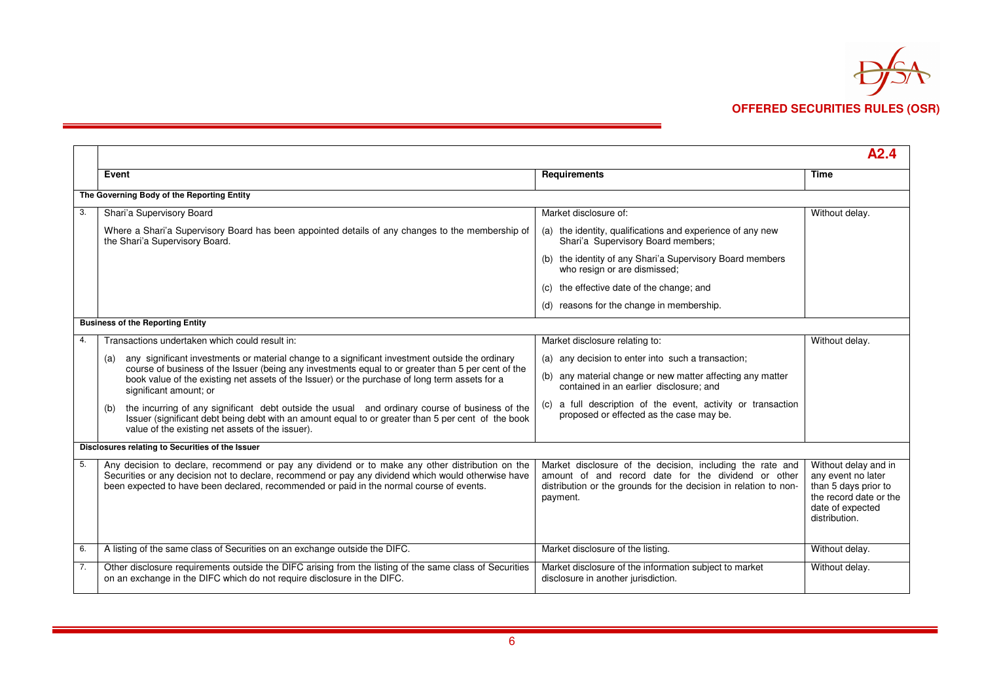

|    |                                                                                                                                                                                                                                                                                                    |                                                                                                                                                                                                  | A2.4                                                                                                                              |
|----|----------------------------------------------------------------------------------------------------------------------------------------------------------------------------------------------------------------------------------------------------------------------------------------------------|--------------------------------------------------------------------------------------------------------------------------------------------------------------------------------------------------|-----------------------------------------------------------------------------------------------------------------------------------|
|    | Event                                                                                                                                                                                                                                                                                              | Requirements                                                                                                                                                                                     | <b>Time</b>                                                                                                                       |
|    | The Governing Body of the Reporting Entity                                                                                                                                                                                                                                                         |                                                                                                                                                                                                  |                                                                                                                                   |
| 3. | Shari'a Supervisory Board                                                                                                                                                                                                                                                                          | Market disclosure of:                                                                                                                                                                            | Without delay.                                                                                                                    |
|    | Where a Shari'a Supervisory Board has been appointed details of any changes to the membership of<br>the Shari'a Supervisory Board.                                                                                                                                                                 | (a) the identity, qualifications and experience of any new<br>Shari'a Supervisory Board members;                                                                                                 |                                                                                                                                   |
|    |                                                                                                                                                                                                                                                                                                    | (b) the identity of any Shari'a Supervisory Board members<br>who resign or are dismissed;                                                                                                        |                                                                                                                                   |
|    |                                                                                                                                                                                                                                                                                                    | the effective date of the change; and                                                                                                                                                            |                                                                                                                                   |
|    |                                                                                                                                                                                                                                                                                                    | (d) reasons for the change in membership.                                                                                                                                                        |                                                                                                                                   |
|    | <b>Business of the Reporting Entity</b>                                                                                                                                                                                                                                                            |                                                                                                                                                                                                  |                                                                                                                                   |
|    | Transactions undertaken which could result in:                                                                                                                                                                                                                                                     | Market disclosure relating to:                                                                                                                                                                   | Without delay.                                                                                                                    |
|    | any significant investments or material change to a significant investment outside the ordinary<br>(a)                                                                                                                                                                                             | (a) any decision to enter into such a transaction;                                                                                                                                               |                                                                                                                                   |
|    | course of business of the Issuer (being any investments equal to or greater than 5 per cent of the<br>book value of the existing net assets of the Issuer) or the purchase of long term assets for a<br>significant amount; or                                                                     | (b) any material change or new matter affecting any matter<br>contained in an earlier disclosure; and                                                                                            |                                                                                                                                   |
|    | the incurring of any significant debt outside the usual and ordinary course of business of the<br>(b)<br>Issuer (significant debt being debt with an amount equal to or greater than 5 per cent of the book<br>value of the existing net assets of the issuer).                                    | a full description of the event, activity or transaction<br>(c)<br>proposed or effected as the case may be.                                                                                      |                                                                                                                                   |
|    | Disclosures relating to Securities of the Issuer                                                                                                                                                                                                                                                   |                                                                                                                                                                                                  |                                                                                                                                   |
| 5. | Any decision to declare, recommend or pay any dividend or to make any other distribution on the<br>Securities or any decision not to declare, recommend or pay any dividend which would otherwise have<br>been expected to have been declared, recommended or paid in the normal course of events. | Market disclosure of the decision, including the rate and<br>amount of and record date for the dividend or other<br>distribution or the grounds for the decision in relation to non-<br>payment. | Without delay and in<br>any event no later<br>than 5 days prior to<br>the record date or the<br>date of expected<br>distribution. |
| 6. | A listing of the same class of Securities on an exchange outside the DIFC.                                                                                                                                                                                                                         | Market disclosure of the listing.                                                                                                                                                                | Without delay.                                                                                                                    |
| 7. | Other disclosure requirements outside the DIFC arising from the listing of the same class of Securities<br>on an exchange in the DIFC which do not require disclosure in the DIFC.                                                                                                                 | Market disclosure of the information subject to market<br>disclosure in another jurisdiction.                                                                                                    | Without delay.                                                                                                                    |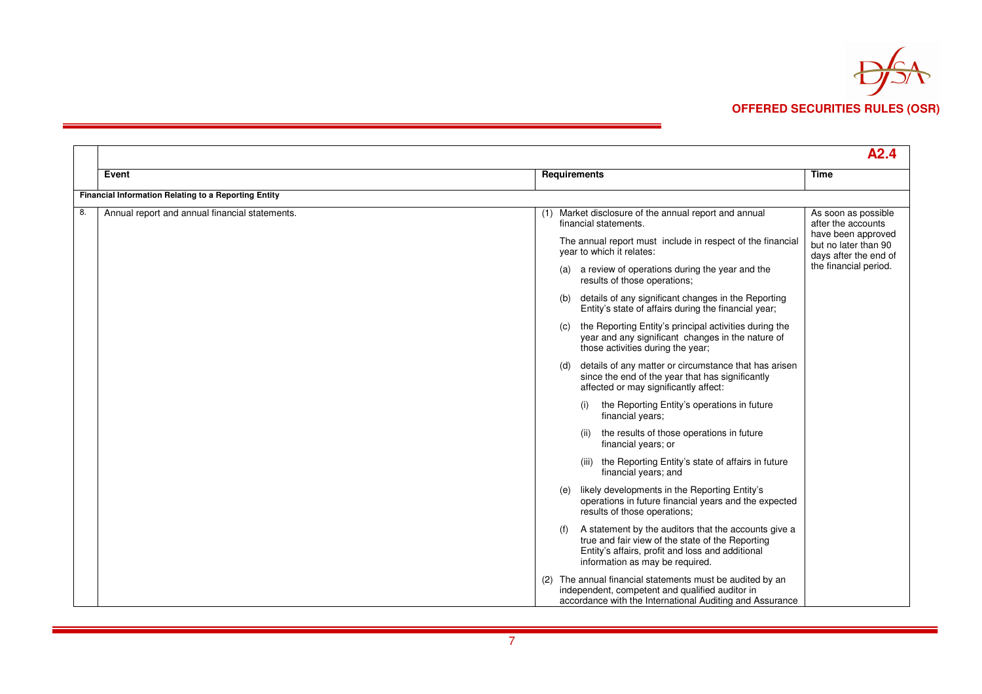

|    |                                                      |                                                                                                                                                                                                 | A2.4                                                                |
|----|------------------------------------------------------|-------------------------------------------------------------------------------------------------------------------------------------------------------------------------------------------------|---------------------------------------------------------------------|
|    | Event                                                | Requirements                                                                                                                                                                                    | <b>Time</b>                                                         |
|    | Financial Information Relating to a Reporting Entity |                                                                                                                                                                                                 |                                                                     |
| 8. | Annual report and annual financial statements.       | Market disclosure of the annual report and annual<br>(1)<br>financial statements.                                                                                                               | As soon as possible<br>after the accounts                           |
|    |                                                      | The annual report must include in respect of the financial<br>year to which it relates:                                                                                                         | have been approved<br>but no later than 90<br>days after the end of |
|    |                                                      | (a) a review of operations during the year and the<br>results of those operations;                                                                                                              | the financial period.                                               |
|    |                                                      | details of any significant changes in the Reporting<br>(b)<br>Entity's state of affairs during the financial year;                                                                              |                                                                     |
|    |                                                      | the Reporting Entity's principal activities during the<br>(C)<br>year and any significant changes in the nature of<br>those activities during the year;                                         |                                                                     |
|    |                                                      | details of any matter or circumstance that has arisen<br>(d)<br>since the end of the year that has significantly<br>affected or may significantly affect:                                       |                                                                     |
|    |                                                      | the Reporting Entity's operations in future<br>(i)<br>financial years;                                                                                                                          |                                                                     |
|    |                                                      | the results of those operations in future<br>(ii)<br>financial years; or                                                                                                                        |                                                                     |
|    |                                                      | (iii) the Reporting Entity's state of affairs in future<br>financial years; and                                                                                                                 |                                                                     |
|    |                                                      | likely developments in the Reporting Entity's<br>(e)<br>operations in future financial years and the expected<br>results of those operations;                                                   |                                                                     |
|    |                                                      | A statement by the auditors that the accounts give a<br>true and fair view of the state of the Reporting<br>Entity's affairs, profit and loss and additional<br>information as may be required. |                                                                     |
|    |                                                      | The annual financial statements must be audited by an<br>(2)<br>independent, competent and qualified auditor in<br>accordance with the International Auditing and Assurance                     |                                                                     |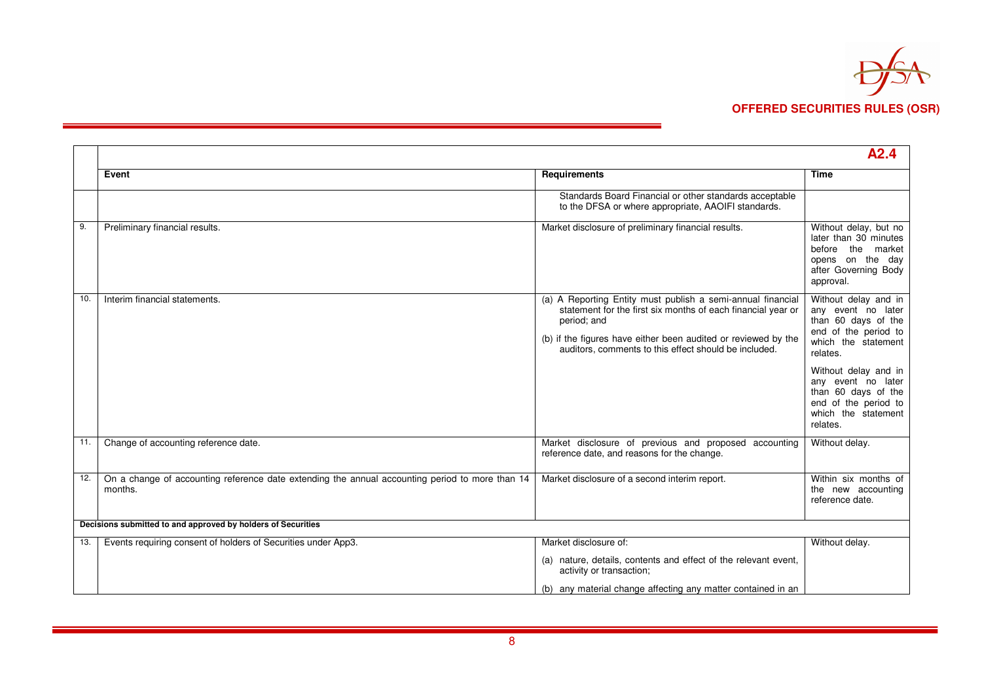

|     |                                                                                                            |                                                                                                                                                                                                                                                                       | A2.4                                                                                                                         |
|-----|------------------------------------------------------------------------------------------------------------|-----------------------------------------------------------------------------------------------------------------------------------------------------------------------------------------------------------------------------------------------------------------------|------------------------------------------------------------------------------------------------------------------------------|
|     | Event                                                                                                      | Requirements                                                                                                                                                                                                                                                          | <b>Time</b>                                                                                                                  |
|     |                                                                                                            | Standards Board Financial or other standards acceptable<br>to the DFSA or where appropriate, AAOIFI standards.                                                                                                                                                        |                                                                                                                              |
| 9.  | Preliminary financial results.                                                                             | Market disclosure of preliminary financial results.                                                                                                                                                                                                                   | Without delay, but no<br>later than 30 minutes<br>before the market<br>opens on the day<br>after Governing Body<br>approval. |
| 10. | Interim financial statements.                                                                              | (a) A Reporting Entity must publish a semi-annual financial<br>statement for the first six months of each financial year or<br>period; and<br>(b) if the figures have either been audited or reviewed by the<br>auditors, comments to this effect should be included. | Without delay and in<br>any event no later<br>than 60 days of the<br>end of the period to<br>which the statement<br>relates. |
|     |                                                                                                            |                                                                                                                                                                                                                                                                       | Without delay and in<br>any event no later<br>than 60 days of the<br>end of the period to<br>which the statement<br>relates. |
| 11. | Change of accounting reference date.                                                                       | Market disclosure of previous and proposed accounting<br>reference date, and reasons for the change.                                                                                                                                                                  | Without delay.                                                                                                               |
| 12. | On a change of accounting reference date extending the annual accounting period to more than 14<br>months. | Market disclosure of a second interim report.                                                                                                                                                                                                                         | Within six months of<br>the new accounting<br>reference date.                                                                |
|     | Decisions submitted to and approved by holders of Securities                                               |                                                                                                                                                                                                                                                                       |                                                                                                                              |
| 13. | Events requiring consent of holders of Securities under App3.                                              | Market disclosure of:                                                                                                                                                                                                                                                 | Without delay.                                                                                                               |
|     |                                                                                                            | (a) nature, details, contents and effect of the relevant event,<br>activity or transaction;                                                                                                                                                                           |                                                                                                                              |
|     |                                                                                                            | (b) any material change affecting any matter contained in an                                                                                                                                                                                                          |                                                                                                                              |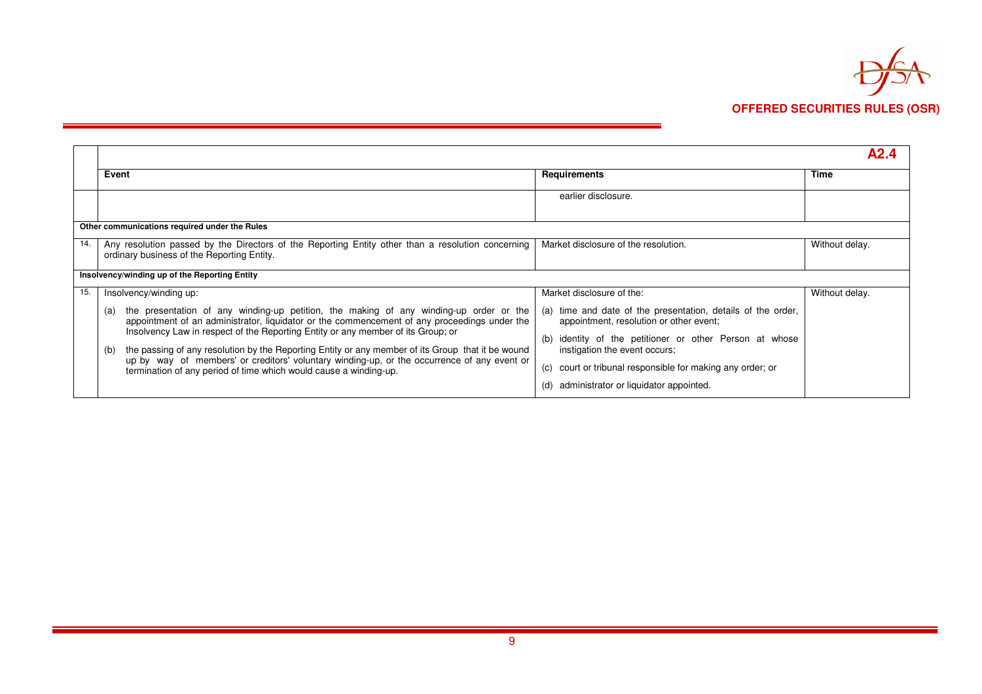

|     |                                                                                                                                                                                                                                                                                   |                                                                                                            | A9 4           |
|-----|-----------------------------------------------------------------------------------------------------------------------------------------------------------------------------------------------------------------------------------------------------------------------------------|------------------------------------------------------------------------------------------------------------|----------------|
|     | Event                                                                                                                                                                                                                                                                             | <b>Requirements</b>                                                                                        | Time           |
|     |                                                                                                                                                                                                                                                                                   | earlier disclosure.                                                                                        |                |
|     | Other communications required under the Rules                                                                                                                                                                                                                                     |                                                                                                            |                |
| 14. | Any resolution passed by the Directors of the Reporting Entity other than a resolution concerning<br>ordinary business of the Reporting Entity.                                                                                                                                   | Market disclosure of the resolution.                                                                       | Without delay. |
|     | Insolvency/winding up of the Reporting Entity                                                                                                                                                                                                                                     |                                                                                                            |                |
| 15. | Insolvency/winding up:                                                                                                                                                                                                                                                            | Market disclosure of the:                                                                                  | Without delay. |
|     | the presentation of any winding-up petition, the making of any winding-up order or the<br>(a)<br>appointment of an administrator, liquidator or the commencement of any proceedings under the<br>Insolvency Law in respect of the Reporting Entity or any member of its Group; or | time and date of the presentation, details of the order,<br>(a)<br>appointment, resolution or other event; |                |
|     | the passing of any resolution by the Reporting Entity or any member of its Group that it be wound<br>(b)<br>up by way of members' or creditors' voluntary winding-up, or the occurrence of any event or<br>termination of any period of time which would cause a winding-up.      | identity of the petitioner or other Person at whose<br>(b)<br>instigation the event occurs;                |                |
|     |                                                                                                                                                                                                                                                                                   | court or tribunal responsible for making any order; or<br>(C)                                              |                |
|     |                                                                                                                                                                                                                                                                                   | administrator or liquidator appointed.<br>(d)                                                              |                |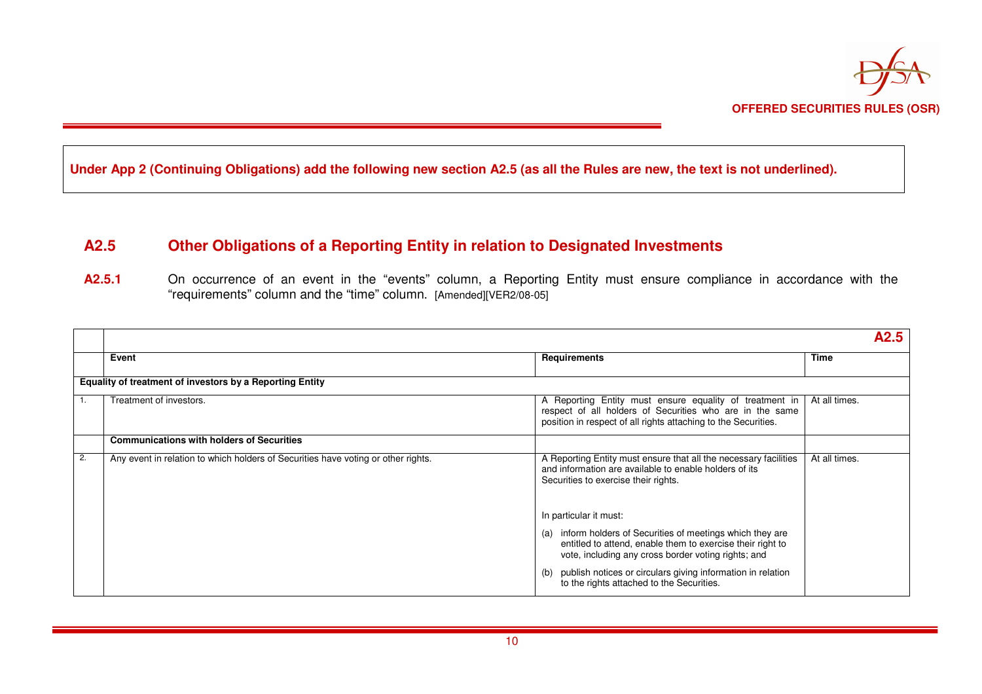

**Under App 2 (Continuing Obligations) add the following new section A2.5 (as all the Rules are new, the text is not underlined).** 

## **A2.5 Other Obligations of a Reporting Entity in relation to Designated Investments**

A2.5.1 On occurrence of an event in the "events" column, a Reporting Entity must ensure compliance in accordance with the "requirements" column and the "time" column. [Amended][VER2/08-05]

|    |                                                                                   |                                                                                                                                                                                       |               | A2.5 |
|----|-----------------------------------------------------------------------------------|---------------------------------------------------------------------------------------------------------------------------------------------------------------------------------------|---------------|------|
|    | Event                                                                             | <b>Requirements</b>                                                                                                                                                                   | <b>Time</b>   |      |
|    | Equality of treatment of investors by a Reporting Entity                          |                                                                                                                                                                                       |               |      |
|    | Treatment of investors.                                                           | A Reporting Entity must ensure equality of treatment in<br>respect of all holders of Securities who are in the same<br>position in respect of all rights attaching to the Securities. | At all times. |      |
|    | <b>Communications with holders of Securities</b>                                  |                                                                                                                                                                                       |               |      |
| 2. | Any event in relation to which holders of Securities have voting or other rights. | A Reporting Entity must ensure that all the necessary facilities<br>and information are available to enable holders of its<br>Securities to exercise their rights.                    | At all times. |      |
|    |                                                                                   | In particular it must:                                                                                                                                                                |               |      |
|    |                                                                                   | (a) inform holders of Securities of meetings which they are<br>entitled to attend, enable them to exercise their right to<br>vote, including any cross border voting rights; and      |               |      |
|    |                                                                                   | publish notices or circulars giving information in relation<br>(b)<br>to the rights attached to the Securities.                                                                       |               |      |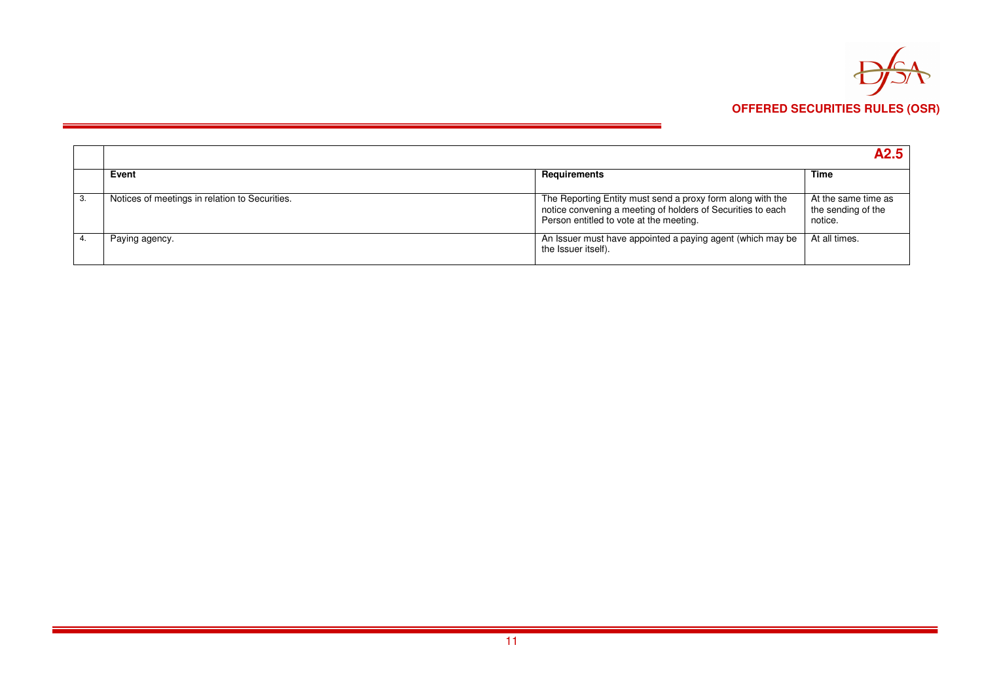

|                                                |                                                                                                                                                                      | A2.5                                                 |
|------------------------------------------------|----------------------------------------------------------------------------------------------------------------------------------------------------------------------|------------------------------------------------------|
| Event                                          | Requirements                                                                                                                                                         | Time                                                 |
| Notices of meetings in relation to Securities. | The Reporting Entity must send a proxy form along with the<br>notice convening a meeting of holders of Securities to each<br>Person entitled to vote at the meeting. | At the same time as<br>the sending of the<br>notice. |
| Paying agency.                                 | An Issuer must have appointed a paying agent (which may be<br>the Issuer itself).                                                                                    | At all times.                                        |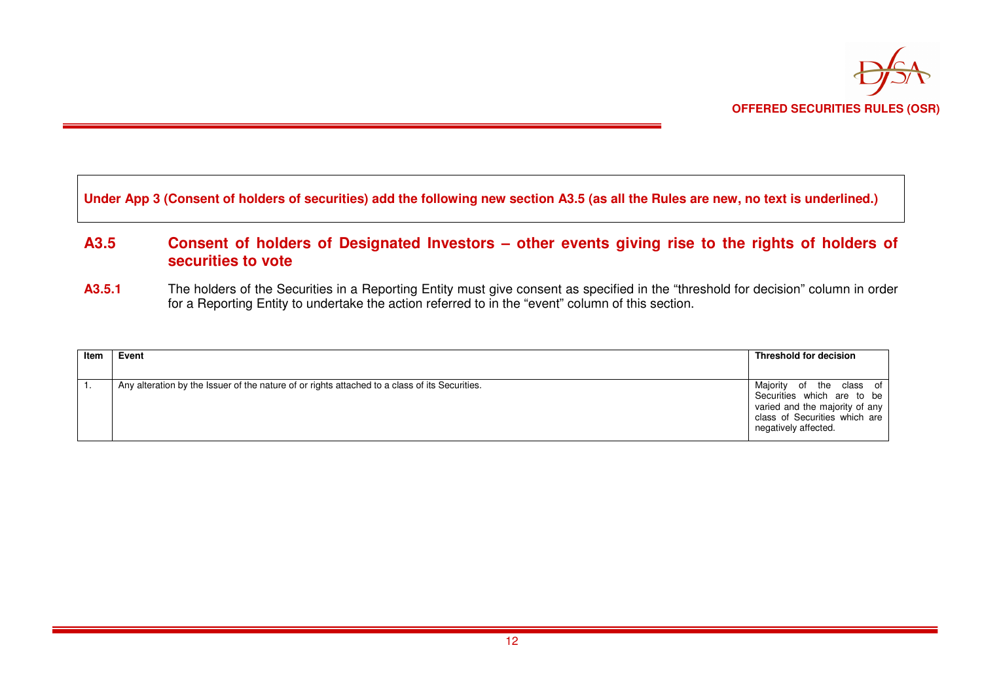

#### **Under App 3 (Consent of holders of securities) add the following new section A3.5 (as all the Rules are new, no text is underlined.)**

### **A3.5 Consent of holders of Designated Investors – other events giving rise to the rights of holders ofsecurities to vote**

A3.5.1 The holders of the Securities in a Reporting Entity must give consent as specified in the "threshold for decision" column in order for a Reporting Entity to undertake the action referred to in the "event" column of this section.

| Item | Event                                                                                          | Threshold for decision                                                                                                                            |
|------|------------------------------------------------------------------------------------------------|---------------------------------------------------------------------------------------------------------------------------------------------------|
|      | Any alteration by the Issuer of the nature of or rights attached to a class of its Securities. | Majority of the class of<br>Securities which are to be<br>varied and the majority of any<br>class of Securities which are<br>negatively affected. |